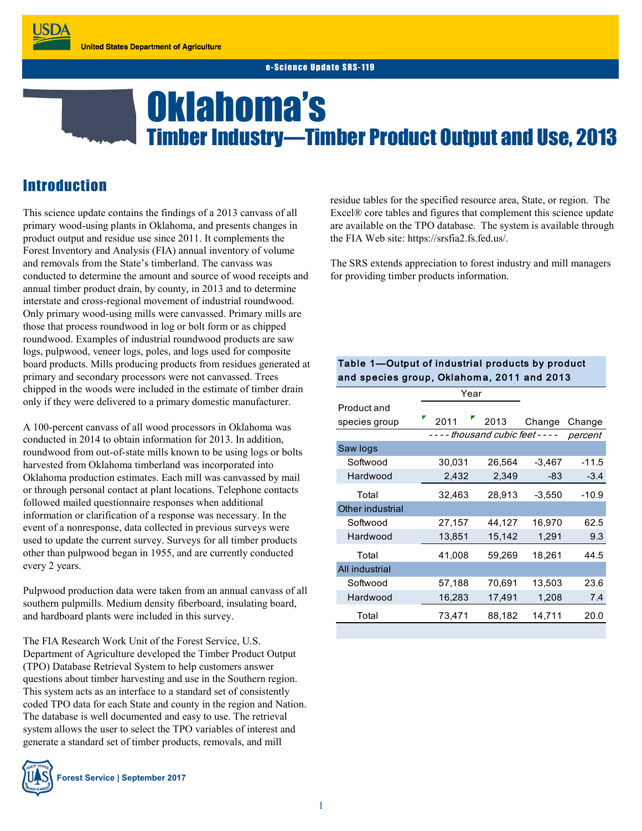# Oklahoma's Timber Industry—Timber Product Output and Use, 2013

# **Introduction**

This science update contains the findings of a 2013 canvass of all primary wood-using plants in Oklahoma, and presents changes in product output and residue use since 2011. It complements the Forest Inventory and Analysis (FIA) annual inventory of volume and removals from the State's timberland. The canvass was conducted to determine the amount and source of wood receipts and annual timber product drain, by county, in 2013 and to determine interstate and cross-regional movement of industrial roundwood. Only primary wood-using mills were canvassed. Primary mills are those that process roundwood in log or bolt form or as chipped roundwood. Examples of industrial roundwood products are saw logs, pulpwood, veneer logs, poles, and logs used for composite board products. Mills producing products from residues generated at primary and secondary processors were not canvassed. Trees chipped in the woods were included in the estimate of timber drain only if they were delivered to a primary domestic manufacturer.

A 100-percent canvass of all wood processors in Oklahoma was conducted in 2014 to obtain information for 2013. In addition, roundwood from out-of-state mills known to be using logs or bolts harvested from Oklahoma timberland was incorporated into Oklahoma production estimates. Each mill was canvassed by mail or through personal contact at plant locations. Telephone contacts followed mailed questionnaire responses when additional information or clarification of a response was necessary. In the event of a nonresponse, data collected in previous surveys were used to update the current survey. Surveys for all timber products other than pulpwood began in 1955, and are currently conducted every 2 years.

Pulpwood production data were taken from an annual canvass of all southern pulpmills. Medium density fiberboard, insulating board, and hardboard plants were included in this survey.

The FIA Research Work Unit of the Forest Service, U.S. Department of Agriculture developed the Timber Product Output (TPO) Database Retrieval System to help customers answer questions about timber harvesting and use in the Southern region. This system acts as an interface to a standard set of consistently coded TPO data for each State and county in the region and Nation. The database is well documented and easy to use. The retrieval system allows the user to select the TPO variables of interest and generate a standard set of timber products, removals, and mill



residue tables for the specified resource area, State, or region. The Excel® core tables and figures that complement this science update are available on the TPO database. The system is available through the FIA Web site: https://srsfia2.fs.fed.us/.

The SRS extends appreciation to forest industry and mill managers for providing timber products information.

# Table 1—Output of industrial products by product Table 1—Output of industrial products by prodi<br>and species group, Oklahoma, 2011 and 2013

|                              | Year   |                         |          |         |
|------------------------------|--------|-------------------------|----------|---------|
| Product and<br>species group | 2011   | 2013                    | Change   | Change  |
|                              |        | - thousand cubic feet - |          | percent |
| Saw logs                     |        |                         |          |         |
| Softwood                     | 30,031 | 26,564                  | $-3,467$ | $-11.5$ |
| Hardwood                     | 2,432  | 2,349                   | -83      | $-3.4$  |
| Total                        | 32,463 | 28,913                  | -3,550   | -10.9   |
| Other industrial             |        |                         |          |         |
| Softwood                     | 27,157 | 44,127                  | 16,970   | 62.5    |
| Hardwood                     | 13,851 | 15,142                  | 1,291    | 9.3     |
| Total                        | 41,008 | 59,269                  | 18,261   | 44.5    |
| All industrial               |        |                         |          |         |
| Softwood                     | 57,188 | 70,691                  | 13,503   | 23.6    |
| Hardwood                     | 16,283 | 17,491                  | 1,208    | 7.4     |
| Total                        | 73,471 | 88,182                  | 14,711   | 20.0    |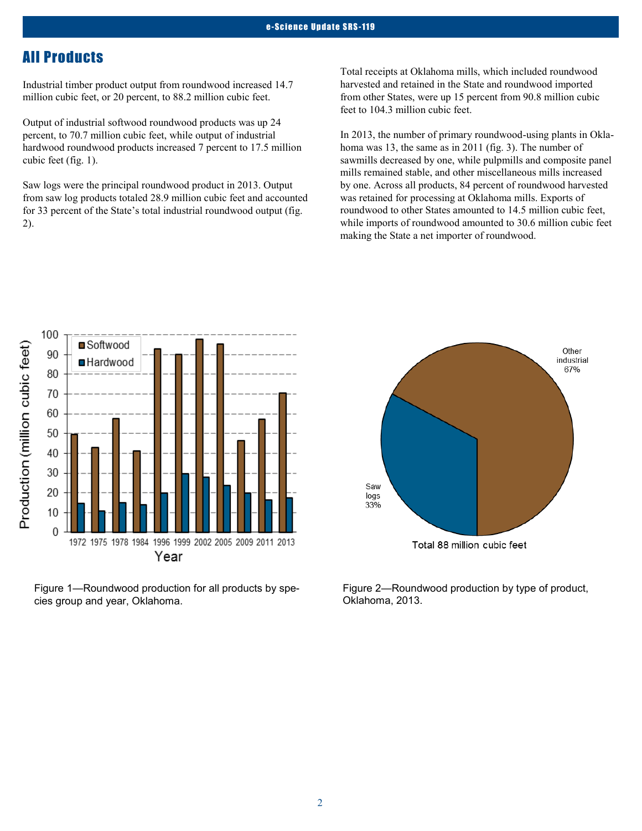# All Products

Industrial timber product output from roundwood increased 14.7 million cubic feet, or 20 percent, to 88.2 million cubic feet.

Output of industrial softwood roundwood products was up 24 percent, to 70.7 million cubic feet, while output of industrial hardwood roundwood products increased 7 percent to 17.5 million cubic feet (fig. 1).

Saw logs were the principal roundwood product in 2013. Output from saw log products totaled 28.9 million cubic feet and accounted for 33 percent of the State's total industrial roundwood output (fig. 2).

Total receipts at Oklahoma mills, which included roundwood harvested and retained in the State and roundwood imported from other States, were up 15 percent from 90.8 million cubic feet to 104.3 million cubic feet.

In 2013, the number of primary roundwood-using plants in Oklahoma was 13, the same as in 2011 (fig. 3). The number of sawmills decreased by one, while pulpmills and composite panel mills remained stable, and other miscellaneous mills increased by one. Across all products, 84 percent of roundwood harvested was retained for processing at Oklahoma mills. Exports of roundwood to other States amounted to 14.5 million cubic feet, while imports of roundwood amounted to 30.6 million cubic feet making the State a net importer of roundwood.



Figure 1—Roundwood production for all products by species group and year, Oklahoma.



Figure 2—Roundwood production by type of product, Oklahoma, 2013.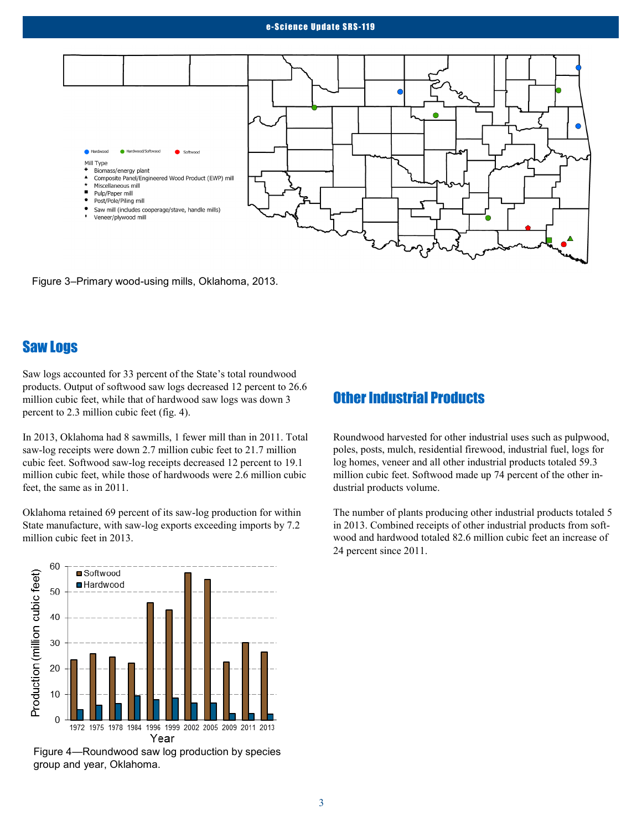#### e-Science Update SRS-119



Figure 3–Primary wood-using mills, Oklahoma, 2013.

# Saw Logs

Saw logs accounted for 33 percent of the State's total roundwood products. Output of softwood saw logs decreased 12 percent to 26.6 million cubic feet, while that of hardwood saw logs was down 3 percent to 2.3 million cubic feet (fig. 4).

In 2013, Oklahoma had 8 sawmills, 1 fewer mill than in 2011. Total saw-log receipts were down 2.7 million cubic feet to 21.7 million cubic feet. Softwood saw-log receipts decreased 12 percent to 19.1 million cubic feet, while those of hardwoods were 2.6 million cubic feet, the same as in 2011.

Oklahoma retained 69 percent of its saw-log production for within State manufacture, with saw-log exports exceeding imports by 7.2 million cubic feet in 2013.



Figure 4—Roundwood saw log production by species group and year, Oklahoma.

### Other Industrial Products

Roundwood harvested for other industrial uses such as pulpwood, poles, posts, mulch, residential firewood, industrial fuel, logs for log homes, veneer and all other industrial products totaled 59.3 million cubic feet. Softwood made up 74 percent of the other industrial products volume.

The number of plants producing other industrial products totaled 5 in 2013. Combined receipts of other industrial products from softwood and hardwood totaled 82.6 million cubic feet an increase of 24 percent since 2011.